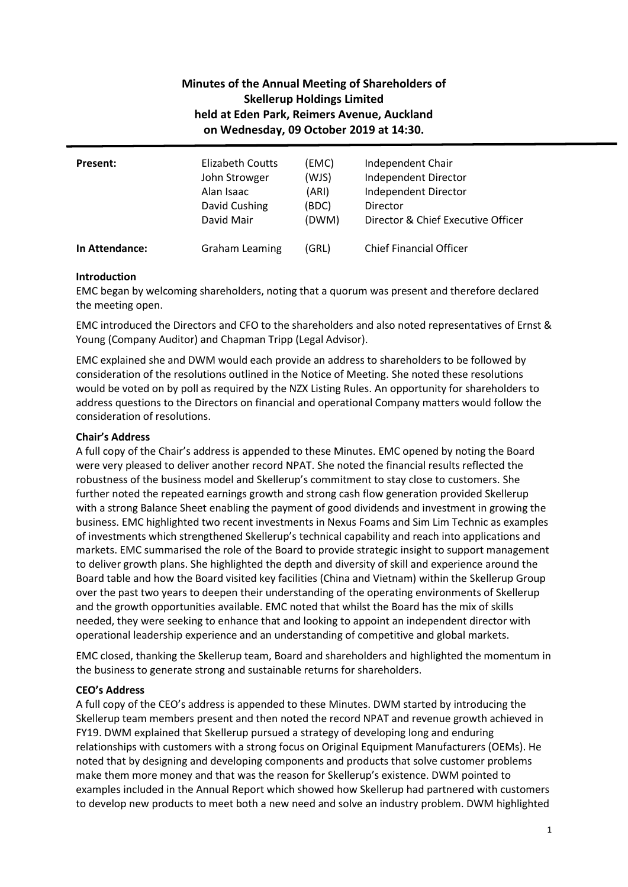# **Minutes of the Annual Meeting of Shareholders of Skellerup Holdings Limited held at Eden Park, Reimers Avenue, Auckland on Wednesday, 09 October 2019 at 14:30.**

| <b>Present:</b> | Elizabeth Coutts      | (EMC) | Independent Chair                  |
|-----------------|-----------------------|-------|------------------------------------|
|                 | John Strowger         | (WJS) | Independent Director               |
|                 | Alan Isaac            | (ARI) | Independent Director               |
|                 | David Cushing         | (BDC) | Director                           |
|                 | David Mair            | (DWM) | Director & Chief Executive Officer |
| In Attendance:  | <b>Graham Leaming</b> | (GRL) | <b>Chief Financial Officer</b>     |

# **Introduction**

EMC began by welcoming shareholders, noting that a quorum was present and therefore declared the meeting open.

EMC introduced the Directors and CFO to the shareholders and also noted representatives of Ernst & Young (Company Auditor) and Chapman Tripp (Legal Advisor).

EMC explained she and DWM would each provide an address to shareholders to be followed by consideration of the resolutions outlined in the Notice of Meeting. She noted these resolutions would be voted on by poll as required by the NZX Listing Rules. An opportunity for shareholders to address questions to the Directors on financial and operational Company matters would follow the consideration of resolutions.

# **Chair's Address**

A full copy of the Chair's address is appended to these Minutes. EMC opened by noting the Board were very pleased to deliver another record NPAT. She noted the financial results reflected the robustness of the business model and Skellerup's commitment to stay close to customers. She further noted the repeated earnings growth and strong cash flow generation provided Skellerup with a strong Balance Sheet enabling the payment of good dividends and investment in growing the business. EMC highlighted two recent investments in Nexus Foams and Sim Lim Technic as examples of investments which strengthened Skellerup's technical capability and reach into applications and markets. EMC summarised the role of the Board to provide strategic insight to support management to deliver growth plans. She highlighted the depth and diversity of skill and experience around the Board table and how the Board visited key facilities (China and Vietnam) within the Skellerup Group over the past two years to deepen their understanding of the operating environments of Skellerup and the growth opportunities available. EMC noted that whilst the Board has the mix of skills needed, they were seeking to enhance that and looking to appoint an independent director with operational leadership experience and an understanding of competitive and global markets.

EMC closed, thanking the Skellerup team, Board and shareholders and highlighted the momentum in the business to generate strong and sustainable returns for shareholders.

## **CEO's Address**

A full copy of the CEO's address is appended to these Minutes. DWM started by introducing the Skellerup team members present and then noted the record NPAT and revenue growth achieved in FY19. DWM explained that Skellerup pursued a strategy of developing long and enduring relationships with customers with a strong focus on Original Equipment Manufacturers (OEMs). He noted that by designing and developing components and products that solve customer problems make them more money and that was the reason for Skellerup's existence. DWM pointed to examples included in the Annual Report which showed how Skellerup had partnered with customers to develop new products to meet both a new need and solve an industry problem. DWM highlighted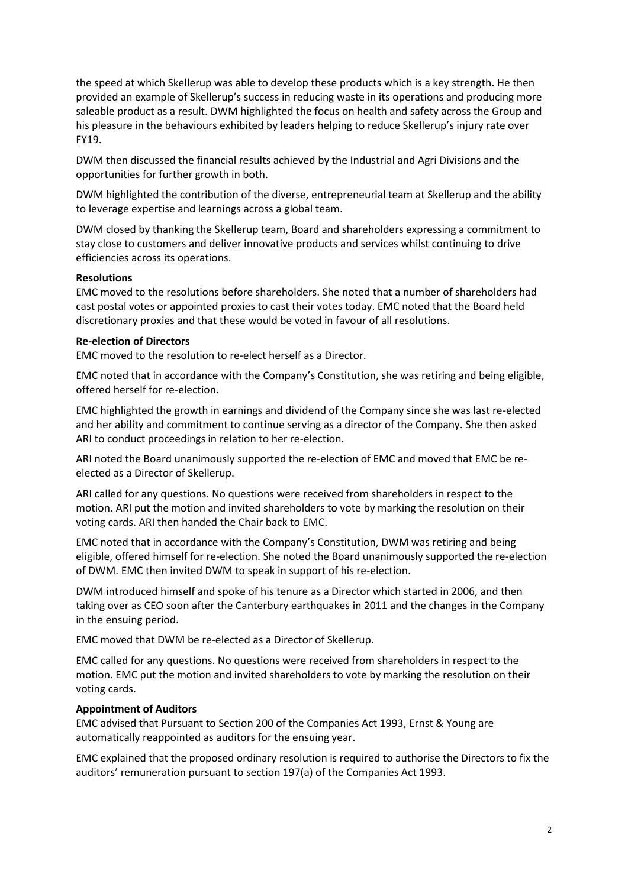the speed at which Skellerup was able to develop these products which is a key strength. He then provided an example of Skellerup's success in reducing waste in its operations and producing more saleable product as a result. DWM highlighted the focus on health and safety across the Group and his pleasure in the behaviours exhibited by leaders helping to reduce Skellerup's injury rate over FY19.

DWM then discussed the financial results achieved by the Industrial and Agri Divisions and the opportunities for further growth in both.

DWM highlighted the contribution of the diverse, entrepreneurial team at Skellerup and the ability to leverage expertise and learnings across a global team.

DWM closed by thanking the Skellerup team, Board and shareholders expressing a commitment to stay close to customers and deliver innovative products and services whilst continuing to drive efficiencies across its operations.

#### **Resolutions**

EMC moved to the resolutions before shareholders. She noted that a number of shareholders had cast postal votes or appointed proxies to cast their votes today. EMC noted that the Board held discretionary proxies and that these would be voted in favour of all resolutions.

## **Re-election of Directors**

EMC moved to the resolution to re-elect herself as a Director.

EMC noted that in accordance with the Company's Constitution, she was retiring and being eligible, offered herself for re-election.

EMC highlighted the growth in earnings and dividend of the Company since she was last re-elected and her ability and commitment to continue serving as a director of the Company. She then asked ARI to conduct proceedings in relation to her re-election.

ARI noted the Board unanimously supported the re-election of EMC and moved that EMC be reelected as a Director of Skellerup.

ARI called for any questions. No questions were received from shareholders in respect to the motion. ARI put the motion and invited shareholders to vote by marking the resolution on their voting cards. ARI then handed the Chair back to EMC.

EMC noted that in accordance with the Company's Constitution, DWM was retiring and being eligible, offered himself for re-election. She noted the Board unanimously supported the re-election of DWM. EMC then invited DWM to speak in support of his re-election.

DWM introduced himself and spoke of his tenure as a Director which started in 2006, and then taking over as CEO soon after the Canterbury earthquakes in 2011 and the changes in the Company in the ensuing period.

EMC moved that DWM be re-elected as a Director of Skellerup.

EMC called for any questions. No questions were received from shareholders in respect to the motion. EMC put the motion and invited shareholders to vote by marking the resolution on their voting cards.

## **Appointment of Auditors**

EMC advised that Pursuant to Section 200 of the Companies Act 1993, Ernst & Young are automatically reappointed as auditors for the ensuing year.

EMC explained that the proposed ordinary resolution is required to authorise the Directors to fix the auditors' remuneration pursuant to section 197(a) of the Companies Act 1993.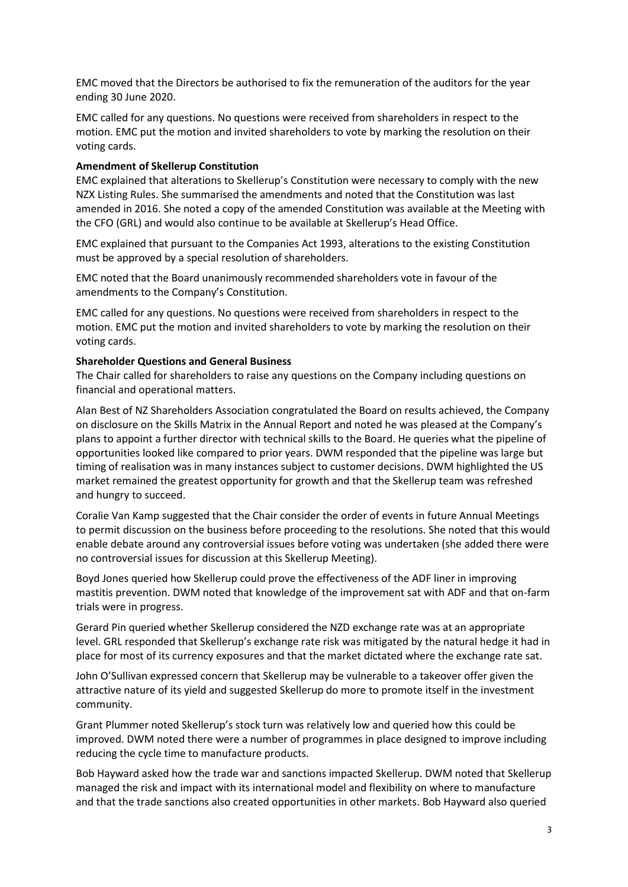EMC moved that the Directors be authorised to fix the remuneration of the auditors for the year ending 30 June 2020.

EMC called for any questions. No questions were received from shareholders in respect to the motion. EMC put the motion and invited shareholders to vote by marking the resolution on their voting cards.

## **Amendment of Skellerup Constitution**

EMC explained that alterations to Skellerup's Constitution were necessary to comply with the new NZX Listing Rules. She summarised the amendments and noted that the Constitution was last amended in 2016. She noted a copy of the amended Constitution was available at the Meeting with the CFO (GRL) and would also continue to be available at Skellerup's Head Office.

EMC explained that pursuant to the Companies Act 1993, alterations to the existing Constitution must be approved by a special resolution of shareholders.

EMC noted that the Board unanimously recommended shareholders vote in favour of the amendments to the Company's Constitution.

EMC called for any questions. No questions were received from shareholders in respect to the motion. EMC put the motion and invited shareholders to vote by marking the resolution on their voting cards.

#### **Shareholder Questions and General Business**

The Chair called for shareholders to raise any questions on the Company including questions on financial and operational matters.

Alan Best of NZ Shareholders Association congratulated the Board on results achieved, the Company on disclosure on the Skills Matrix in the Annual Report and noted he was pleased at the Company's plans to appoint a further director with technical skills to the Board. He queries what the pipeline of opportunities looked like compared to prior years. DWM responded that the pipeline was large but timing of realisation was in many instances subject to customer decisions. DWM highlighted the US market remained the greatest opportunity for growth and that the Skellerup team was refreshed and hungry to succeed.

Coralie Van Kamp suggested that the Chair consider the order of events in future Annual Meetings to permit discussion on the business before proceeding to the resolutions. She noted that this would enable debate around any controversial issues before voting was undertaken (she added there were no controversial issues for discussion at this Skellerup Meeting).

Boyd Jones queried how Skellerup could prove the effectiveness of the ADF liner in improving mastitis prevention. DWM noted that knowledge of the improvement sat with ADF and that on-farm trials were in progress.

Gerard Pin queried whether Skellerup considered the NZD exchange rate was at an appropriate level. GRL responded that Skellerup's exchange rate risk was mitigated by the natural hedge it had in place for most of its currency exposures and that the market dictated where the exchange rate sat.

John O'Sullivan expressed concern that Skellerup may be vulnerable to a takeover offer given the attractive nature of its yield and suggested Skellerup do more to promote itself in the investment community.

Grant Plummer noted Skellerup's stock turn was relatively low and queried how this could be improved. DWM noted there were a number of programmes in place designed to improve including reducing the cycle time to manufacture products.

Bob Hayward asked how the trade war and sanctions impacted Skellerup. DWM noted that Skellerup managed the risk and impact with its international model and flexibility on where to manufacture and that the trade sanctions also created opportunities in other markets. Bob Hayward also queried